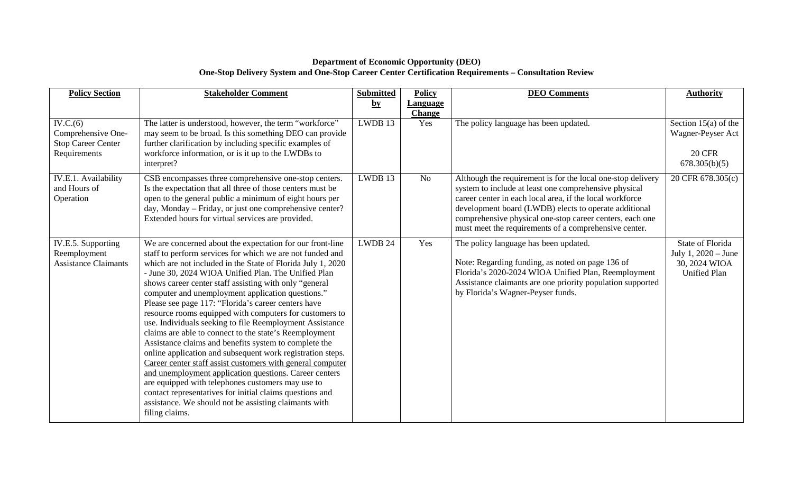## **Department of Economic Opportunity (DEO) One-Stop Delivery System and One-Stop Career Center Certification Requirements – Consultation Review**

| <b>Policy Section</b>                                                       | <b>Stakeholder Comment</b>                                                                                                                                                                                                                                                                                                                                                                                                                                                                                                                                                                                                                                                                                                                                                                                                                                                                                                                                                                                                                     | <b>Submitted</b>        | <b>Policy</b>                    | <b>DEO</b> Comments                                                                                                                                                                                                                                                                                                                                            | <b>Authority</b>                                                                       |
|-----------------------------------------------------------------------------|------------------------------------------------------------------------------------------------------------------------------------------------------------------------------------------------------------------------------------------------------------------------------------------------------------------------------------------------------------------------------------------------------------------------------------------------------------------------------------------------------------------------------------------------------------------------------------------------------------------------------------------------------------------------------------------------------------------------------------------------------------------------------------------------------------------------------------------------------------------------------------------------------------------------------------------------------------------------------------------------------------------------------------------------|-------------------------|----------------------------------|----------------------------------------------------------------------------------------------------------------------------------------------------------------------------------------------------------------------------------------------------------------------------------------------------------------------------------------------------------------|----------------------------------------------------------------------------------------|
|                                                                             |                                                                                                                                                                                                                                                                                                                                                                                                                                                                                                                                                                                                                                                                                                                                                                                                                                                                                                                                                                                                                                                | $\mathbf{b} \mathbf{y}$ | <b>Language</b><br><b>Change</b> |                                                                                                                                                                                                                                                                                                                                                                |                                                                                        |
| IV.C.(6)<br>Comprehensive One-<br><b>Stop Career Center</b><br>Requirements | The latter is understood, however, the term "workforce"<br>may seem to be broad. Is this something DEO can provide<br>further clarification by including specific examples of<br>workforce information, or is it up to the LWDBs to<br>interpret?                                                                                                                                                                                                                                                                                                                                                                                                                                                                                                                                                                                                                                                                                                                                                                                              | LWDB 13                 | Yes                              | The policy language has been updated.                                                                                                                                                                                                                                                                                                                          | Section $15(a)$ of the<br>Wagner-Peyser Act<br><b>20 CFR</b><br>678.305(b)(5)          |
| IV.E.1. Availability<br>and Hours of<br>Operation                           | CSB encompasses three comprehensive one-stop centers.<br>Is the expectation that all three of those centers must be<br>open to the general public a minimum of eight hours per<br>day, Monday – Friday, or just one comprehensive center?<br>Extended hours for virtual services are provided.                                                                                                                                                                                                                                                                                                                                                                                                                                                                                                                                                                                                                                                                                                                                                 | LWDB 13                 | N <sub>o</sub>                   | Although the requirement is for the local one-stop delivery<br>system to include at least one comprehensive physical<br>career center in each local area, if the local workforce<br>development board (LWDB) elects to operate additional<br>comprehensive physical one-stop career centers, each one<br>must meet the requirements of a comprehensive center. | 20 CFR 678.305(c)                                                                      |
| IV.E.5. Supporting<br>Reemployment<br><b>Assistance Claimants</b>           | We are concerned about the expectation for our front-line<br>staff to perform services for which we are not funded and<br>which are not included in the State of Florida July 1, 2020<br>- June 30, 2024 WIOA Unified Plan. The Unified Plan<br>shows career center staff assisting with only "general<br>computer and unemployment application questions."<br>Please see page 117: "Florida's career centers have<br>resource rooms equipped with computers for customers to<br>use. Individuals seeking to file Reemployment Assistance<br>claims are able to connect to the state's Reemployment<br>Assistance claims and benefits system to complete the<br>online application and subsequent work registration steps.<br>Career center staff assist customers with general computer<br>and unemployment application questions. Career centers<br>are equipped with telephones customers may use to<br>contact representatives for initial claims questions and<br>assistance. We should not be assisting claimants with<br>filing claims. | LWDB 24                 | Yes                              | The policy language has been updated.<br>Note: Regarding funding, as noted on page 136 of<br>Florida's 2020-2024 WIOA Unified Plan, Reemployment<br>Assistance claimants are one priority population supported<br>by Florida's Wagner-Peyser funds.                                                                                                            | <b>State of Florida</b><br>July 1, 2020 – June<br>30, 2024 WIOA<br><b>Unified Plan</b> |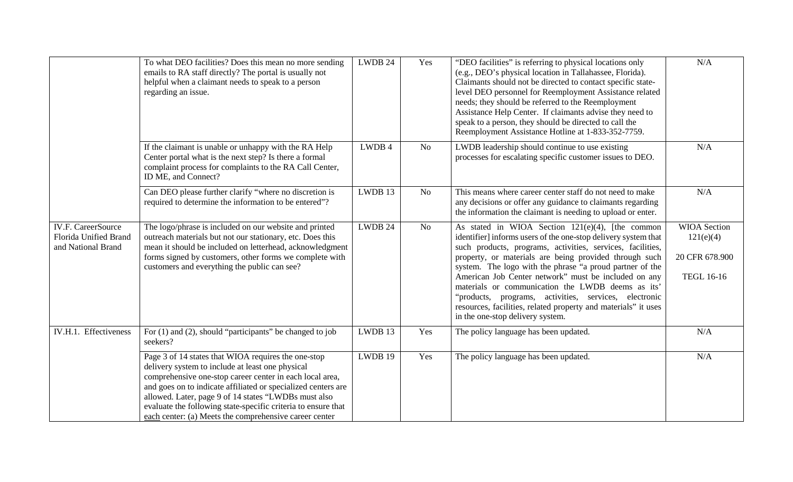|                                                                          | To what DEO facilities? Does this mean no more sending<br>emails to RA staff directly? The portal is usually not<br>helpful when a claimant needs to speak to a person<br>regarding an issue.                                                                                                                                                                                                                           | LWDB 24 | Yes            | "DEO facilities" is referring to physical locations only<br>(e.g., DEO's physical location in Tallahassee, Florida).<br>Claimants should not be directed to contact specific state-<br>level DEO personnel for Reemployment Assistance related<br>needs; they should be referred to the Reemployment<br>Assistance Help Center. If claimants advise they need to<br>speak to a person, they should be directed to call the<br>Reemployment Assistance Hotline at 1-833-352-7759.                                                                                                   | N/A                                                                     |
|--------------------------------------------------------------------------|-------------------------------------------------------------------------------------------------------------------------------------------------------------------------------------------------------------------------------------------------------------------------------------------------------------------------------------------------------------------------------------------------------------------------|---------|----------------|------------------------------------------------------------------------------------------------------------------------------------------------------------------------------------------------------------------------------------------------------------------------------------------------------------------------------------------------------------------------------------------------------------------------------------------------------------------------------------------------------------------------------------------------------------------------------------|-------------------------------------------------------------------------|
|                                                                          | If the claimant is unable or unhappy with the RA Help<br>Center portal what is the next step? Is there a formal<br>complaint process for complaints to the RA Call Center,<br>ID ME, and Connect?                                                                                                                                                                                                                       | LWDB 4  | N <sub>o</sub> | LWDB leadership should continue to use existing<br>processes for escalating specific customer issues to DEO.                                                                                                                                                                                                                                                                                                                                                                                                                                                                       | N/A                                                                     |
|                                                                          | Can DEO please further clarify "where no discretion is<br>required to determine the information to be entered"?                                                                                                                                                                                                                                                                                                         | LWDB 13 | N <sub>o</sub> | This means where career center staff do not need to make<br>any decisions or offer any guidance to claimants regarding<br>the information the claimant is needing to upload or enter.                                                                                                                                                                                                                                                                                                                                                                                              | N/A                                                                     |
| <b>IV.F. CareerSource</b><br>Florida Unified Brand<br>and National Brand | The logo/phrase is included on our website and printed<br>outreach materials but not our stationary, etc. Does this<br>mean it should be included on letterhead, acknowledgment<br>forms signed by customers, other forms we complete with<br>customers and everything the public can see?                                                                                                                              | LWDB 24 | <b>No</b>      | As stated in WIOA Section 121(e)(4), [the common<br>identifier] informs users of the one-stop delivery system that<br>such products, programs, activities, services, facilities,<br>property, or materials are being provided through such<br>system. The logo with the phrase "a proud partner of the<br>American Job Center network" must be included on any<br>materials or communication the LWDB deems as its'<br>"products, programs, activities, services, electronic<br>resources, facilities, related property and materials" it uses<br>in the one-stop delivery system. | <b>WIOA</b> Section<br>121(e)(4)<br>20 CFR 678.900<br><b>TEGL 16-16</b> |
| IV.H.1. Effectiveness                                                    | For $(1)$ and $(2)$ , should "participants" be changed to job<br>seekers?                                                                                                                                                                                                                                                                                                                                               | LWDB 13 | Yes            | The policy language has been updated.                                                                                                                                                                                                                                                                                                                                                                                                                                                                                                                                              | N/A                                                                     |
|                                                                          | Page 3 of 14 states that WIOA requires the one-stop<br>delivery system to include at least one physical<br>comprehensive one-stop career center in each local area,<br>and goes on to indicate affiliated or specialized centers are<br>allowed. Later, page 9 of 14 states "LWDBs must also<br>evaluate the following state-specific criteria to ensure that<br>each center: (a) Meets the comprehensive career center | LWDB 19 | Yes            | The policy language has been updated.                                                                                                                                                                                                                                                                                                                                                                                                                                                                                                                                              | N/A                                                                     |